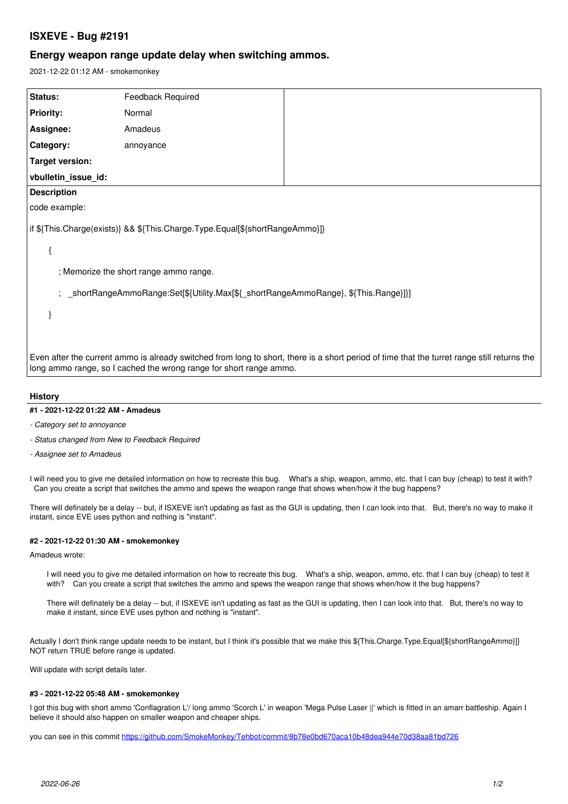# **ISXEVE - Bug #2191**

## **Energy weapon range update delay when switching ammos.**

2021-12-22 01:12 AM - smokemonkey

| Status:                                                                                                                                                                                                           | Feedback Required |  |
|-------------------------------------------------------------------------------------------------------------------------------------------------------------------------------------------------------------------|-------------------|--|
| <b>Priority:</b>                                                                                                                                                                                                  | Normal            |  |
| Assignee:                                                                                                                                                                                                         | Amadeus           |  |
| Category:                                                                                                                                                                                                         | annoyance         |  |
| <b>Target version:</b>                                                                                                                                                                                            |                   |  |
| vbulletin_issue_id:                                                                                                                                                                                               |                   |  |
| <b>Description</b>                                                                                                                                                                                                |                   |  |
| code example:                                                                                                                                                                                                     |                   |  |
| if \${This.Charge(exists)} && \${This.Charge.Type.Equal[\${shortRangeAmmo}]}                                                                                                                                      |                   |  |
|                                                                                                                                                                                                                   |                   |  |
| ; Memorize the short range ammo range.                                                                                                                                                                            |                   |  |
| ; _shortRangeAmmoRange:Set[\${Utility.Max[\${_shortRangeAmmoRange}, \${This.Range}]}]                                                                                                                             |                   |  |
|                                                                                                                                                                                                                   |                   |  |
|                                                                                                                                                                                                                   |                   |  |
| Even after the current ammo is already switched from long to short, there is a short period of time that the turret range still returns the<br>long ammo range, so I cached the wrong range for short range ammo. |                   |  |

### **History**

### **#1 - 2021-12-22 01:22 AM - Amadeus**

- *Category set to annoyance*
- *Status changed from New to Feedback Required*
- *Assignee set to Amadeus*

I will need you to give me detailed information on how to recreate this bug. What's a ship, weapon, ammo, etc. that I can buy (cheap) to test it with? Can you create a script that switches the ammo and spews the weapon range that shows when/how it the bug happens?

There will definately be a delay -- but, if ISXEVE isn't updating as fast as the GUI is updating, then I can look into that. But, there's no way to make it instant, since EVE uses python and nothing is "instant".

#### **#2 - 2021-12-22 01:30 AM - smokemonkey**

Amadeus wrote:

I will need you to give me detailed information on how to recreate this bug. What's a ship, weapon, ammo, etc. that I can buy (cheap) to test it with? Can you create a script that switches the ammo and spews the weapon range that shows when/how it the bug happens?

There will definately be a delay -- but, if ISXEVE isn't updating as fast as the GUI is updating, then I can look into that. But, there's no way to make it instant, since EVE uses python and nothing is "instant".

Actually I don't think range update needs to be instant, but I think it's possible that we make this \${This.Charge.Type.Equal[\${shortRangeAmmo}]} NOT return TRUE before range is updated.

Will update with script details later.

#### **#3 - 2021-12-22 05:48 AM - smokemonkey**

I got this bug with short ammo 'Conflagration L'/ long ammo 'Scorch L' in weapon 'Mega Pulse Laser ||' which is fitted in an amarr battleship. Again I believe it should also happen on smaller weapon and cheaper ships.

you can see in this commit <https://github.com/SmokeMonkey/Tehbot/commit/8b78e0bd670aca10b48dea944e70d38aa81bd726>